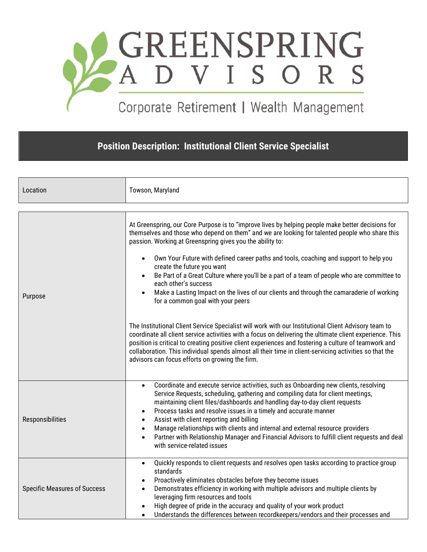

## Corporate Retirement | Wealth Management

**Position Description: Institutional Client Service Specialist**

| Location                            | Towson, Maryland                                                                                                                                                                                                                                                                                                                                                                                                                                                                                                                                                                                                                                                                                                                                                                                                                                                                                                                                                                                                                                                                                                                                     |
|-------------------------------------|------------------------------------------------------------------------------------------------------------------------------------------------------------------------------------------------------------------------------------------------------------------------------------------------------------------------------------------------------------------------------------------------------------------------------------------------------------------------------------------------------------------------------------------------------------------------------------------------------------------------------------------------------------------------------------------------------------------------------------------------------------------------------------------------------------------------------------------------------------------------------------------------------------------------------------------------------------------------------------------------------------------------------------------------------------------------------------------------------------------------------------------------------|
| Purpose                             | At Greenspring, our Core Purpose is to "improve lives by helping people make better decisions for<br>themselves and those who depend on them" and we are looking for talented people who share this<br>passion. Working at Greenspring gives you the ability to:<br>Own Your Future with defined career paths and tools, coaching and support to help you<br>$\bullet$<br>create the future you want<br>Be Part of a Great Culture where you'll be a part of a team of people who are committee to<br>each other's success<br>Make a Lasting Impact on the lives of our clients and through the camaraderie of working<br>for a common goal with your peers<br>The Institutional Client Service Specialist will work with our Institutional Client Advisory team to<br>coordinate all client service activities with a focus on delivering the ultimate client experience. This<br>position is critical to creating positive client experiences and fostering a culture of teamwork and<br>collaboration. This individual spends almost all their time in client-servicing activities so that the<br>advisors can focus efforts on growing the firm. |
| Responsibilities                    | Coordinate and execute service activities, such as Onboarding new clients, resolving<br>$\bullet$<br>Service Requests, scheduling, gathering and compiling data for client meetings,<br>maintaining client files/dashboards and handling day-to-day client requests<br>Process tasks and resolve issues in a timely and accurate manner<br>$\bullet$<br>Assist with client reporting and billing<br>$\bullet$<br>Manage relationships with clients and internal and external resource providers<br>$\bullet$<br>Partner with Relationship Manager and Financial Advisors to fulfill client requests and deal<br>$\bullet$<br>with service-related issues                                                                                                                                                                                                                                                                                                                                                                                                                                                                                             |
| <b>Specific Measures of Success</b> | Quickly responds to client requests and resolves open tasks according to practice group<br>$\bullet$<br>standards<br>Proactively eliminates obstacles before they become issues<br>Demonstrates efficiency in working with multiple advisors and multiple clients by<br>$\bullet$<br>leveraging firm resources and tools<br>High degree of pride in the accuracy and quality of your work product<br>Understands the differences between recordkeepers/vendors and their processes and<br>$\bullet$                                                                                                                                                                                                                                                                                                                                                                                                                                                                                                                                                                                                                                                  |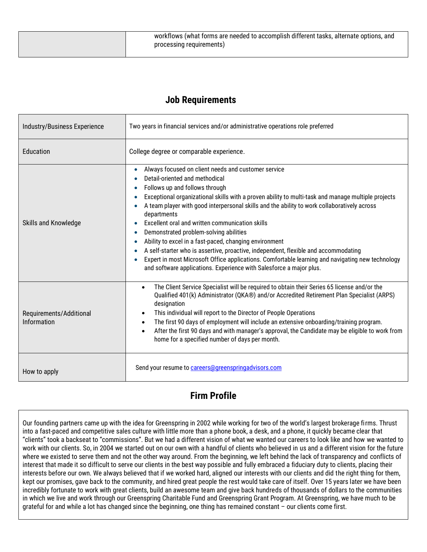| workflows (what forms are needed to accomplish different tasks, alternate options, and<br>processing requirements) |
|--------------------------------------------------------------------------------------------------------------------|
|                                                                                                                    |

## **Job Requirements**

| Industry/Business Experience           | Two years in financial services and/or administrative operations role preferred                                                                                                                                                                                                                                                                                                                                                                                                                                                                                                                                                                                                                                                                                                                                                                    |
|----------------------------------------|----------------------------------------------------------------------------------------------------------------------------------------------------------------------------------------------------------------------------------------------------------------------------------------------------------------------------------------------------------------------------------------------------------------------------------------------------------------------------------------------------------------------------------------------------------------------------------------------------------------------------------------------------------------------------------------------------------------------------------------------------------------------------------------------------------------------------------------------------|
| Education                              | College degree or comparable experience.                                                                                                                                                                                                                                                                                                                                                                                                                                                                                                                                                                                                                                                                                                                                                                                                           |
| Skills and Knowledge                   | Always focused on client needs and customer service<br>$\bullet$<br>Detail-oriented and methodical<br>Follows up and follows through<br>Exceptional organizational skills with a proven ability to multi-task and manage multiple projects<br>$\bullet$<br>A team player with good interpersonal skills and the ability to work collaboratively across<br>departments<br>Excellent oral and written communication skills<br>Demonstrated problem-solving abilities<br>$\bullet$<br>Ability to excel in a fast-paced, changing environment<br>$\bullet$<br>A self-starter who is assertive, proactive, independent, flexible and accommodating<br>$\bullet$<br>Expert in most Microsoft Office applications. Comfortable learning and navigating new technology<br>$\bullet$<br>and software applications. Experience with Salesforce a major plus. |
| Requirements/Additional<br>Information | The Client Service Specialist will be required to obtain their Series 65 license and/or the<br>$\bullet$<br>Qualified 401(k) Administrator (QKA®) and/or Accredited Retirement Plan Specialist (ARPS)<br>designation<br>This individual will report to the Director of People Operations<br>$\bullet$<br>The first 90 days of employment will include an extensive onboarding/training program.<br>$\bullet$<br>After the first 90 days and with manager's approval, the Candidate may be eligible to work from<br>$\bullet$<br>home for a specified number of days per month.                                                                                                                                                                                                                                                                     |
| How to apply                           | Send your resume to careers@greenspringadvisors.com                                                                                                                                                                                                                                                                                                                                                                                                                                                                                                                                                                                                                                                                                                                                                                                                |

## **Firm Profile**

Our founding partners came up with the idea for Greenspring in 2002 while working for two of the world's largest brokerage firms. Thrust into a fast-paced and competitive sales culture with little more than a phone book, a desk, and a phone, it quickly became clear that "clients" took a backseat to "commissions". But we had a different vision of what we wanted our careers to look like and how we wanted to work with our clients. So, in 2004 we started out on our own with a handful of clients who believed in us and a different vision for the future where we existed to serve them and not the other way around. From the beginning, we left behind the lack of transparency and conflicts of interest that made it so difficult to serve our clients in the best way possible and fully embraced a fiduciary duty to clients, placing their interests before our own. We always believed that if we worked hard, aligned our interests with our clients and did the right thing for them, kept our promises, gave back to the community, and hired great people the rest would take care of itself. Over 15 years later we have been incredibly fortunate to work with great clients, build an awesome team and give back hundreds of thousands of dollars to the communities in which we live and work through our Greenspring Charitable Fund and Greenspring Grant Program. At Greenspring, we have much to be grateful for and while a lot has changed since the beginning, one thing has remained constant – our clients come first.